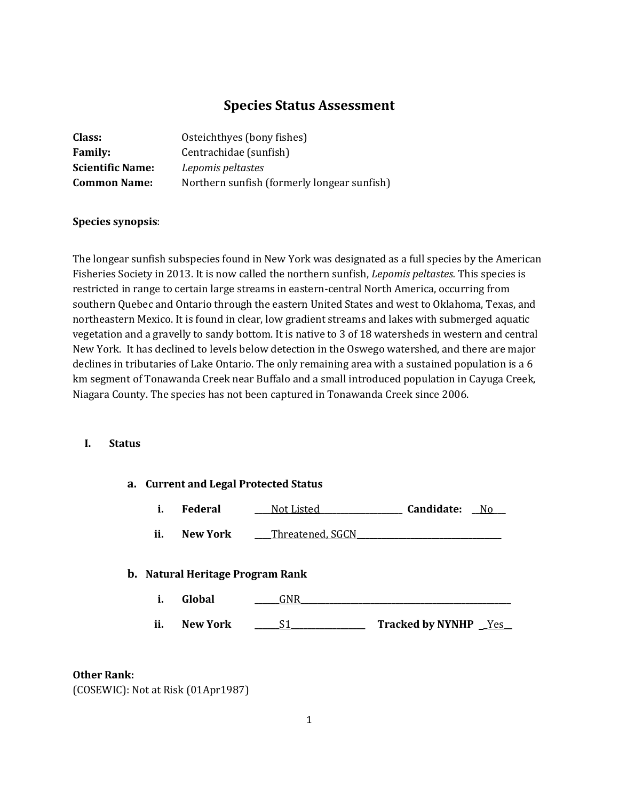# **Species Status Assessment**

| Class:                  | Osteichthyes (bony fishes)                  |
|-------------------------|---------------------------------------------|
| <b>Family:</b>          | Centrachidae (sunfish)                      |
| <b>Scientific Name:</b> | Lepomis peltastes                           |
| <b>Common Name:</b>     | Northern sunfish (formerly longear sunfish) |

### **Species synopsis**:

The longear sunfish subspecies found in New York was designated as a full species by the American Fisheries Society in 2013. It is now called the northern sunfish, *Lepomis peltastes.* This species is restricted in range to certain large streams in eastern-central North America, occurring from southern Quebec and Ontario through the eastern United States and west to Oklahoma, Texas, and northeastern Mexico. It is found in clear, low gradient streams and lakes with submerged aquatic vegetation and a gravelly to sandy bottom. It is native to 3 of 18 watersheds in western and central New York. It has declined to levels below detection in the Oswego watershed, and there are major declines in tributaries of Lake Ontario. The only remaining area with a sustained population is a 6 km segment of Tonawanda Creek near Buffalo and a small introduced population in Cayuga Creek, Niagara County. The species has not been captured in Tonawanda Creek since 2006.

### **I. Status**

|                                         | a. Current and Legal Protected Status |                 |                  |                                                                                                                                                                                                                                             |  |
|-----------------------------------------|---------------------------------------|-----------------|------------------|---------------------------------------------------------------------------------------------------------------------------------------------------------------------------------------------------------------------------------------------|--|
|                                         | i.                                    | Federal         | Not Listed_      | Candidate:<br>No the North State of the New York of New York is not the New York of New York is the New York of New York is the New York of New York is not the New York of New York is not the New York of New York is not the New York of |  |
|                                         | ii.                                   | New York        | Threatened, SGCN |                                                                                                                                                                                                                                             |  |
| <b>b.</b> Natural Heritage Program Rank |                                       |                 |                  |                                                                                                                                                                                                                                             |  |
|                                         | i.                                    | Global          | <b>GNR</b>       |                                                                                                                                                                                                                                             |  |
|                                         | ii.                                   | <b>New York</b> |                  | <b>Tracked by NYNHP</b><br><u>Yes</u>                                                                                                                                                                                                       |  |

#### **Other Rank:**

(COSEWIC): Not at Risk (01Apr1987)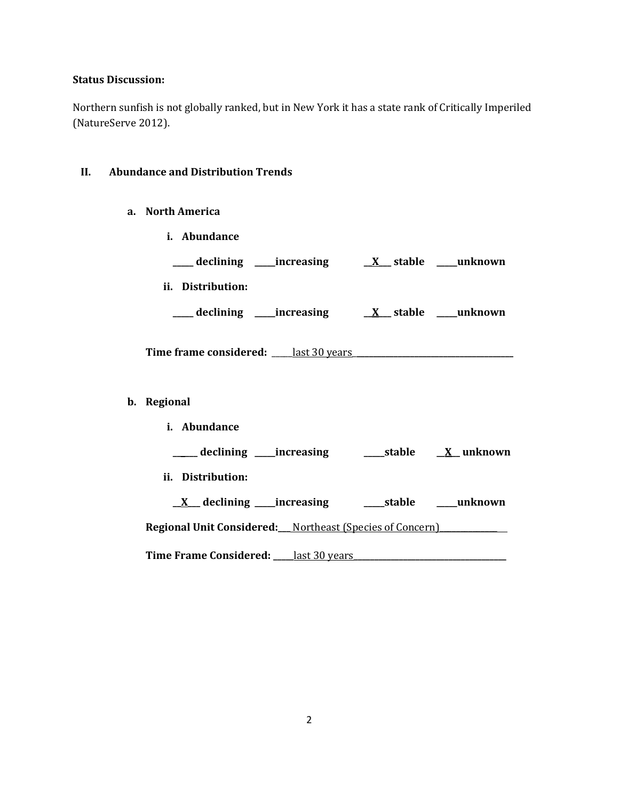## **Status Discussion:**

Northern sunfish is not globally ranked, but in New York it has a state rank of Critically Imperiled (NatureServe 2012).

## **II. Abundance and Distribution Trends**

- **a. North America**
	- **i. Abundance**

| __ declining ____increasing                 | $X$ stable      | unknown |
|---------------------------------------------|-----------------|---------|
| ii. Distribution:                           |                 |         |
| _declining ____increasing                   | <b>X</b> stable | unknown |
| <b>Time frame considered:</b> last 30 years |                 |         |

# **b. Regional**

| Abundance<br>i.                                                 |               |        |                                 |
|-----------------------------------------------------------------|---------------|--------|---------------------------------|
| _____ declining ______ increasing                               |               | stable | X unknown                       |
| ii. Distribution:                                               |               |        |                                 |
| $X$ declining increasing                                        |               |        | stable                  unknown |
| <b>Regional Unit Considered:</b> Northeast (Species of Concern) |               |        |                                 |
| Time Frame Considered:                                          | last 30 vears |        |                                 |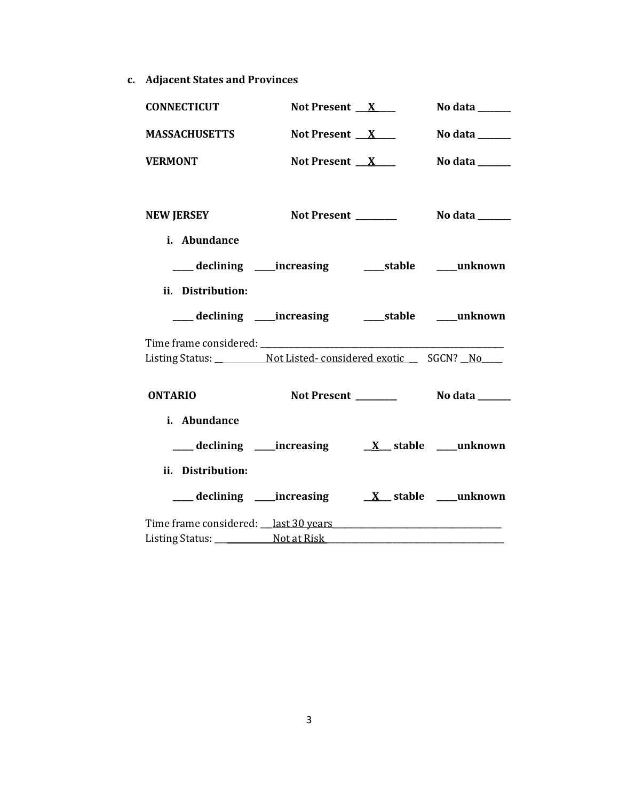**c. Adjacent States and Provinces**

| <b>CONNECTICUT</b>                                    | Not Present $X$ | No data ______                     |
|-------------------------------------------------------|-----------------|------------------------------------|
| <b>MASSACHUSETTS</b>                                  | Not Present $X$ | No data ______                     |
| <b>VERMONT</b>                                        | Not Present $X$ | No data $\_\_\_\_\_\_\_\_\_\_\_\_$ |
| <b>NEW JERSEY</b>                                     |                 |                                    |
| i. Abundance                                          |                 |                                    |
| ___ declining ____increasing ______stable ____unknown |                 |                                    |
| ii. Distribution:                                     |                 |                                    |
|                                                       |                 |                                    |
|                                                       |                 |                                    |
| Listing Status: Not Listed-considered exotic SGCN? No |                 |                                    |
| <b>ONTARIO</b>                                        |                 |                                    |
| i. Abundance                                          |                 |                                    |
|                                                       |                 |                                    |
| ii. Distribution:                                     |                 |                                    |
|                                                       |                 |                                    |
|                                                       |                 |                                    |
| Listing Status: Not at Risk                           |                 |                                    |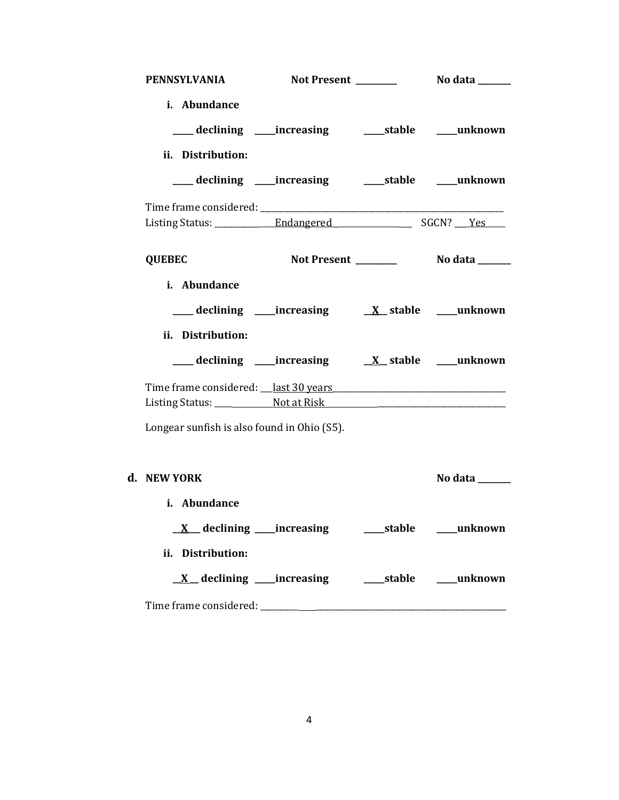| PENNSYLVANIA                                                                               |  |                |
|--------------------------------------------------------------------------------------------|--|----------------|
| i. Abundance<br>___ declining ____increasing ______stable ____unknown<br>ii. Distribution: |  |                |
| ___ declining ____increasing ______stable ____unknown                                      |  |                |
|                                                                                            |  |                |
| <b>QUEBEC</b>                                                                              |  |                |
| i. Abundance<br>ii. Distribution:                                                          |  |                |
|                                                                                            |  |                |
|                                                                                            |  |                |
| Longear sunfish is also found in Ohio (S5).                                                |  |                |
| d. NEW YORK                                                                                |  | No data ______ |
| i. Abundance<br>ii. Distribution:                                                          |  |                |
|                                                                                            |  |                |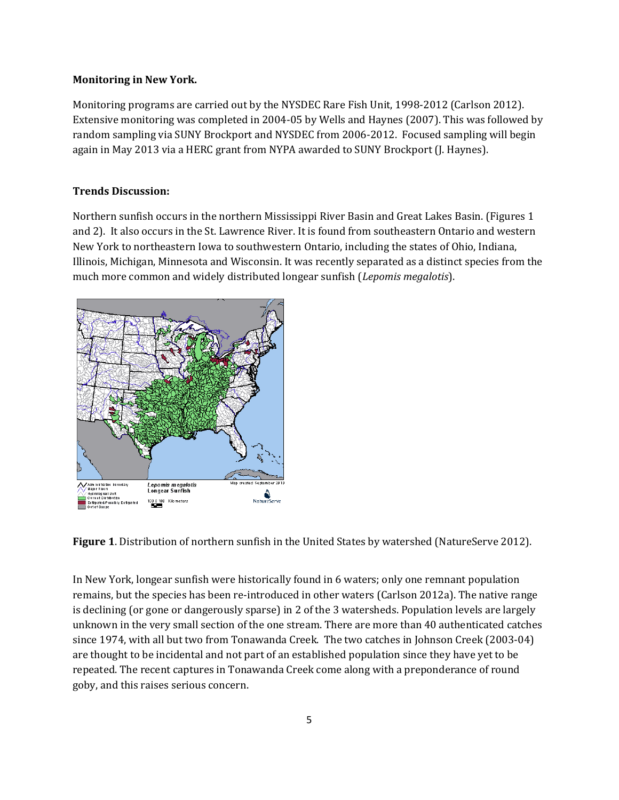#### **Monitoring in New York.**

Monitoring programs are carried out by the NYSDEC Rare Fish Unit, 1998-2012 (Carlson 2012). Extensive monitoring was completed in 2004-05 by Wells and Haynes (2007). This was followed by random sampling via SUNY Brockport and NYSDEC from 2006-2012. Focused sampling will begin again in May 2013 via a HERC grant from NYPA awarded to SUNY Brockport (J. Haynes).

#### **Trends Discussion:**

Northern sunfish occurs in the northern Mississippi River Basin and Great Lakes Basin. (Figures 1 and 2). It also occurs in the St. Lawrence River. It is found from southeastern Ontario and western New York to northeastern Iowa to southwestern Ontario, including the states of Ohio, Indiana, Illinois, Michigan, Minnesota and Wisconsin. It was recently separated as a distinct species from the much more common and widely distributed longear sunfish (*Lepomis megalotis*).



**Figure 1**. Distribution of northern sunfish in the United States by watershed (NatureServe 2012).

In New York, longear sunfish were historically found in 6 waters; only one remnant population remains, but the species has been re-introduced in other waters (Carlson 2012a). The native range is declining (or gone or dangerously sparse) in 2 of the 3 watersheds. Population levels are largely unknown in the very small section of the one stream. There are more than 40 authenticated catches since 1974, with all but two from Tonawanda Creek. The two catches in Johnson Creek (2003-04) are thought to be incidental and not part of an established population since they have yet to be repeated. The recent captures in Tonawanda Creek come along with a preponderance of round goby, and this raises serious concern.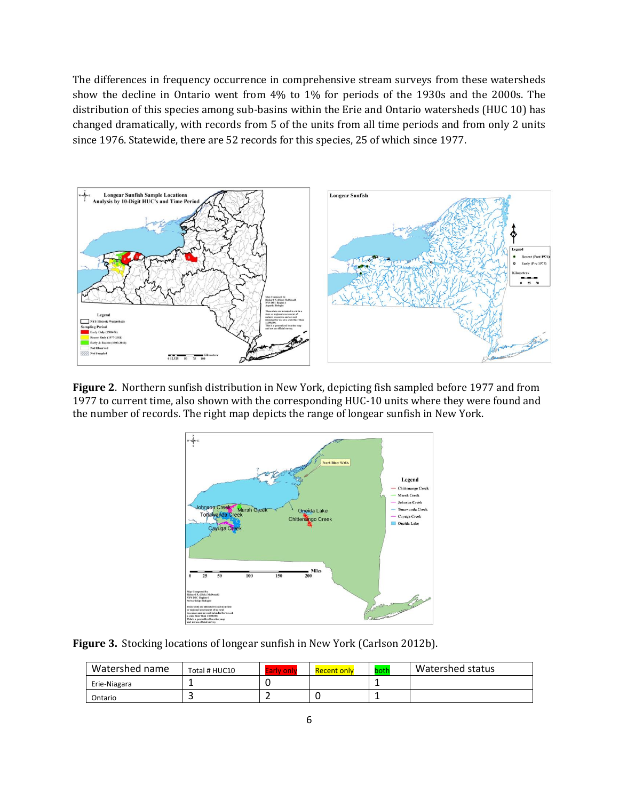The differences in frequency occurrence in comprehensive stream surveys from these watersheds show the decline in Ontario went from 4% to 1% for periods of the 1930s and the 2000s. The distribution of this species among sub-basins within the Erie and Ontario watersheds (HUC 10) has changed dramatically, with records from 5 of the units from all time periods and from only 2 units since 1976. Statewide, there are 52 records for this species, 25 of which since 1977.



**Figure 2**. Northern sunfish distribution in New York, depicting fish sampled before 1977 and from 1977 to current time, also shown with the corresponding HUC-10 units where they were found and the number of records. The right map depicts the range of longear sunfish in New York.



**Figure 3.** Stocking locations of longear sunfish in New York (Carlson 2012b).

| Watershed name | Total # HUC10 | arly onl | Recent only | both | Watershed status |
|----------------|---------------|----------|-------------|------|------------------|
| Erie-Niagara   |               |          |             |      |                  |
| Ontario        |               |          |             |      |                  |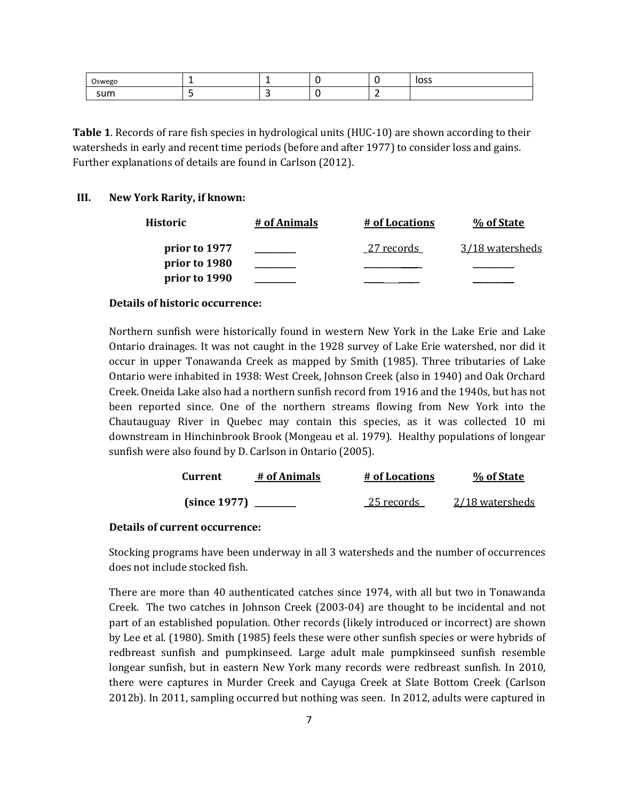| ╭<br>$\lambda$ |  |   | $\sim$ $\sim$ $\sim$<br>دت |
|----------------|--|---|----------------------------|
| 711m           |  | - |                            |

**Table 1**. Records of rare fish species in hydrological units (HUC-10) are shown according to their watersheds in early and recent time periods (before and after 1977) to consider loss and gains. Further explanations of details are found in Carlson (2012).

#### **III. New York Rarity, if known:**

| Historic      | # of Animals | # of Locations | % of State             |
|---------------|--------------|----------------|------------------------|
| prior to 1977 |              | 27 records     | <u>3/18 watersheds</u> |
| prior to 1980 |              |                |                        |
| prior to 1990 |              |                |                        |

#### **Details of historic occurrence:**

Northern sunfish were historically found in western New York in the Lake Erie and Lake Ontario drainages. It was not caught in the 1928 survey of Lake Erie watershed, nor did it occur in upper Tonawanda Creek as mapped by Smith (1985). Three tributaries of Lake Ontario were inhabited in 1938: West Creek, Johnson Creek (also in 1940) and Oak Orchard Creek. Oneida Lake also had a northern sunfish record from 1916 and the 1940s, but has not been reported since. One of the northern streams flowing from New York into the Chautauguay River in Quebec may contain this species, as it was collected 10 mi downstream in Hinchinbrook Brook (Mongeau et al. 1979). Healthy populations of longear sunfish were also found by D. Carlson in Ontario (2005).

| <b>Current</b> | # of Animals | # of Locations | % of State      |
|----------------|--------------|----------------|-----------------|
| (since 1977)   |              | 25 records     | 2/18 watersheds |

### **Details of current occurrence:**

Stocking programs have been underway in all 3 watersheds and the number of occurrences does not include stocked fish.

There are more than 40 authenticated catches since 1974, with all but two in Tonawanda Creek. The two catches in Johnson Creek (2003-04) are thought to be incidental and not part of an established population. Other records (likely introduced or incorrect) are shown by Lee et al. (1980). Smith (1985) feels these were other sunfish species or were hybrids of redbreast sunfish and pumpkinseed. Large adult male pumpkinseed sunfish resemble longear sunfish, but in eastern New York many records were redbreast sunfish. In 2010, there were captures in Murder Creek and Cayuga Creek at Slate Bottom Creek (Carlson 2012b). In 2011, sampling occurred but nothing was seen. In 2012, adults were captured in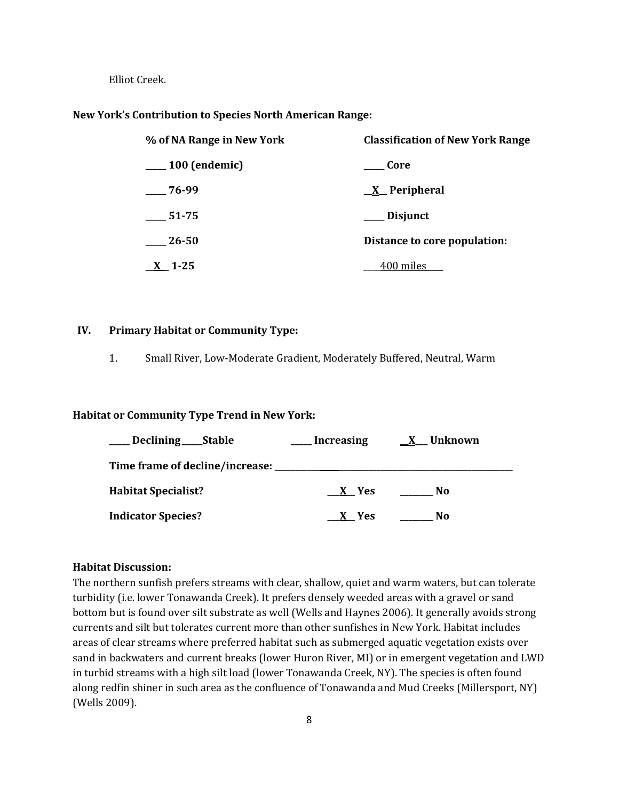Elliot Creek.

#### **New York's Contribution to Species North American Range:**

| % of NA Range in New York | <b>Classification of New York Range</b> |  |
|---------------------------|-----------------------------------------|--|
| $\frac{100}{2}$ (endemic) | <b>Core</b>                             |  |
| $-76-99$                  | <u>X</u> Peripheral                     |  |
| 51-75                     | ___ Disjunct                            |  |
| 26-50                     | Distance to core population:            |  |
| $\underline{X}$ 1-25      | <u>400 miles</u>                        |  |

#### **IV. Primary Habitat or Community Type:**

1. Small River, Low-Moderate Gradient, Moderately Buffered, Neutral, Warm

#### **Habitat or Community Type Trend in New York:**

| Declining ______ Stable    | <b>Increasing</b> | <u>X</u> Unknown |
|----------------------------|-------------------|------------------|
|                            |                   |                  |
| <b>Habitat Specialist?</b> | X Yes             | No               |
| <b>Indicator Species?</b>  | X Yes             | No               |

### **Habitat Discussion:**

The northern sunfish prefers streams with clear, shallow, quiet and warm waters, but can tolerate turbidity (i.e. lower Tonawanda Creek). It prefers densely weeded areas with a gravel or sand bottom but is found over silt substrate as well (Wells and Haynes 2006). It generally avoids strong currents and silt but tolerates current more than other sunfishes in New York. Habitat includes areas of clear streams where preferred habitat such as submerged aquatic vegetation exists over sand in backwaters and current breaks (lower Huron River, MI) or in emergent vegetation and LWD in turbid streams with a high silt load (lower Tonawanda Creek, NY). The species is often found along redfin shiner in such area as the confluence of Tonawanda and Mud Creeks (Millersport, NY) (Wells 2009).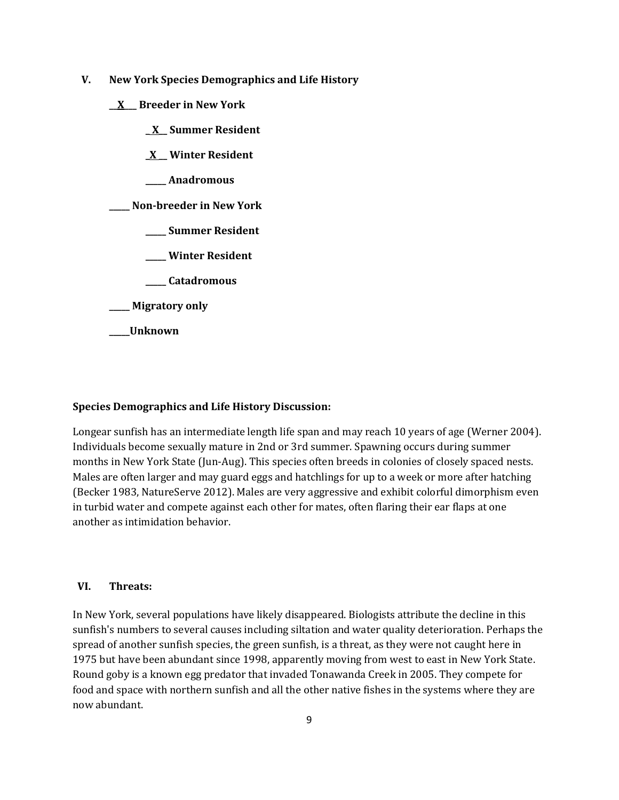- **V. New York Species Demographics and Life History**
	- **\_\_X\_\_\_ Breeder in New York**
		- **\_ X\_\_ Summer Resident**
		- **\_X \_\_ Winter Resident**
		- **\_\_\_\_\_ Anadromous**

**\_\_\_\_\_ Non-breeder in New York**

- **\_\_\_\_\_ Summer Resident**
- **\_\_\_\_\_ Winter Resident**
- **\_\_\_\_\_ Catadromous**

**\_\_\_\_\_ Migratory only**

**\_\_\_\_\_Unknown**

#### **Species Demographics and Life History Discussion:**

Longear sunfish has an intermediate length life span and may reach 10 years of age (Werner 2004). Individuals become sexually mature in 2nd or 3rd summer. Spawning occurs during summer months in New York State (Jun-Aug). This species often breeds in colonies of closely spaced nests. Males are often larger and may guard eggs and hatchlings for up to a week or more after hatching (Becker 1983, NatureServe 2012). Males are very aggressive and exhibit colorful dimorphism even in turbid water and compete against each other for mates, often flaring their ear flaps at one another as intimidation behavior.

### **VI. Threats:**

In New York, several populations have likely disappeared. Biologists attribute the decline in this sunfish's numbers to several causes including siltation and water quality deterioration. Perhaps the spread of another sunfish species, the green sunfish, is a threat, as they were not caught here in 1975 but have been abundant since 1998, apparently moving from west to east in New York State. Round goby is a known egg predator that invaded Tonawanda Creek in 2005. They compete for food and space with northern sunfish and all the other native fishes in the systems where they are now abundant.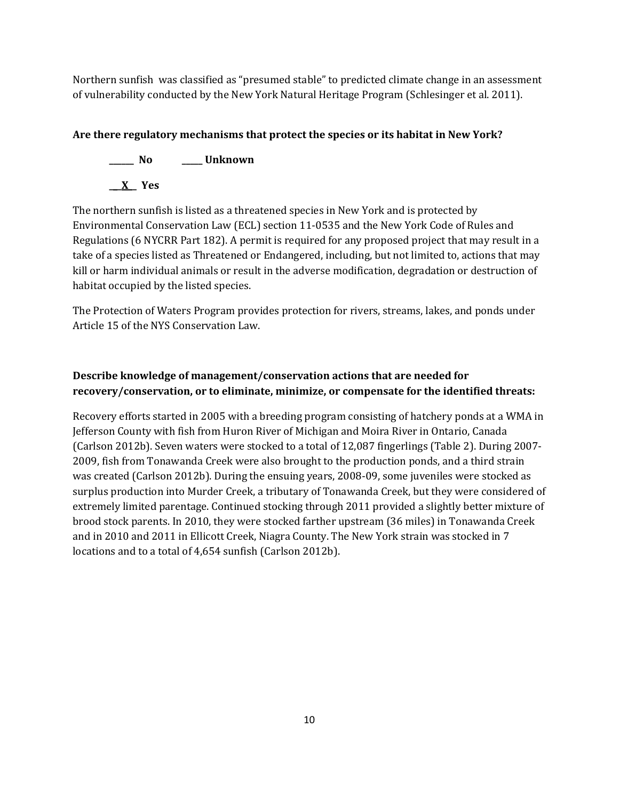Northern sunfish was classified as "presumed stable" to predicted climate change in an assessment of vulnerability conducted by the New York Natural Heritage Program (Schlesinger et al. 2011).

# **Are there regulatory mechanisms that protect the species or its habitat in New York?**

**\_\_\_\_\_\_ No \_\_\_\_\_ Unknown**

**\_\_\_X\_\_ Yes**

The northern sunfish is listed as a threatened species in New York and is protected by Environmental Conservation Law (ECL) section 11-0535 and the New York Code of Rules and Regulations (6 NYCRR Part 182). A permit is required for any proposed project that may result in a take of a species listed as Threatened or Endangered, including, but not limited to, actions that may kill or harm individual animals or result in the adverse modification, degradation or destruction of habitat occupied by the listed species.

The Protection of Waters Program provides protection for rivers, streams, lakes, and ponds under Article 15 of the NYS Conservation Law.

# **Describe knowledge of management/conservation actions that are needed for recovery/conservation, or to eliminate, minimize, or compensate for the identified threats:**

Recovery efforts started in 2005 with a breeding program consisting of hatchery ponds at a WMA in Jefferson County with fish from Huron River of Michigan and Moira River in Ontario, Canada (Carlson 2012b). Seven waters were stocked to a total of 12,087 fingerlings (Table 2). During 2007- 2009, fish from Tonawanda Creek were also brought to the production ponds, and a third strain was created (Carlson 2012b). During the ensuing years, 2008-09, some juveniles were stocked as surplus production into Murder Creek, a tributary of Tonawanda Creek, but they were considered of extremely limited parentage. Continued stocking through 2011 provided a slightly better mixture of brood stock parents. In 2010, they were stocked farther upstream (36 miles) in Tonawanda Creek and in 2010 and 2011 in Ellicott Creek, Niagra County. The New York strain was stocked in 7 locations and to a total of 4,654 sunfish (Carlson 2012b).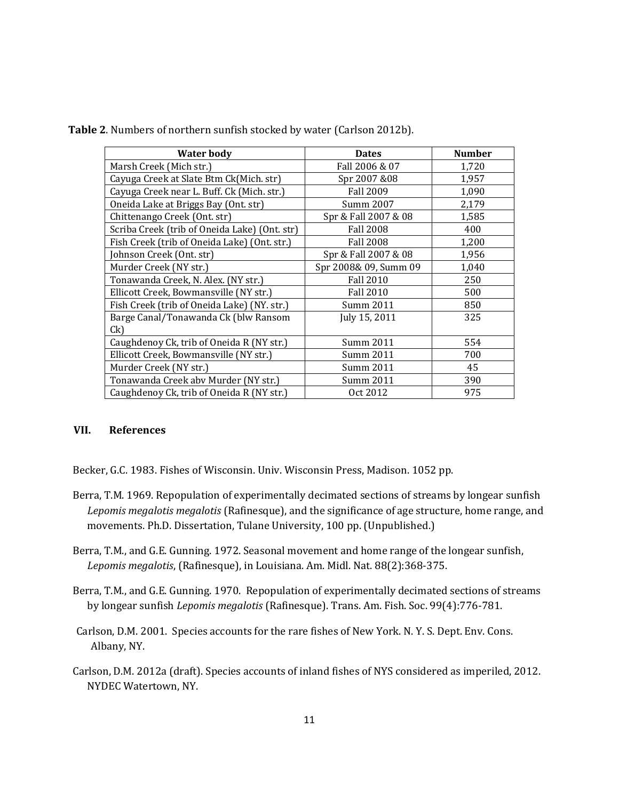**Table 2**. Numbers of northern sunfish stocked by water (Carlson 2012b).

| Water body                                    | <b>Dates</b>          | Number |
|-----------------------------------------------|-----------------------|--------|
| Marsh Creek (Mich str.)                       | Fall 2006 & 07        | 1,720  |
| Cayuga Creek at Slate Btm Ck(Mich. str)       | Spr 2007 &08          | 1,957  |
| Cayuga Creek near L. Buff. Ck (Mich. str.)    | <b>Fall 2009</b>      | 1,090  |
| Oneida Lake at Briggs Bay (Ont. str)          | Summ 2007             | 2,179  |
| Chittenango Creek (Ont. str)                  | Spr & Fall 2007 & 08  | 1,585  |
| Scriba Creek (trib of Oneida Lake) (Ont. str) | <b>Fall 2008</b>      | 400    |
| Fish Creek (trib of Oneida Lake) (Ont. str.)  | <b>Fall 2008</b>      | 1,200  |
| Johnson Creek (Ont. str)                      | Spr & Fall 2007 & 08  | 1,956  |
| Murder Creek (NY str.)                        | Spr 2008& 09, Summ 09 | 1,040  |
| Tonawanda Creek, N. Alex. (NY str.)           | <b>Fall 2010</b>      | 250    |
| Ellicott Creek, Bowmansville (NY str.)        | <b>Fall 2010</b>      | 500    |
| Fish Creek (trib of Oneida Lake) (NY. str.)   | Summ 2011             | 850    |
| Barge Canal/Tonawanda Ck (blw Ransom          | July 15, 2011         | 325    |
| Ck)                                           |                       |        |
| Caughdenoy Ck, trib of Oneida R (NY str.)     | Summ 2011             | 554    |
| Ellicott Creek, Bowmansville (NY str.)        | Summ 2011             | 700    |
| Murder Creek (NY str.)                        | Summ 2011             | 45     |
| Tonawanda Creek abv Murder (NY str.)          | Summ 2011             | 390    |
| Caughdenoy Ck, trib of Oneida R (NY str.)     | Oct 2012              | 975    |

## **VII. References**

Becker, G.C. 1983. Fishes of Wisconsin. Univ. Wisconsin Press, Madison. 1052 pp.

- Berra, T.M. 1969. Repopulation of experimentally decimated sections of streams by longear sunfish *Lepomis megalotis megalotis* (Rafinesque), and the significance of age structure, home range, and movements. Ph.D. Dissertation, Tulane University, 100 pp. (Unpublished.)
- Berra, T.M., and G.E. Gunning. 1972. Seasonal movement and home range of the longear sunfish, *Lepomis megalotis*, (Rafinesque), in Louisiana. Am. Midl. Nat. 88(2):368-375.
- Berra, T.M., and G.E. Gunning. 1970. Repopulation of experimentally decimated sections of streams by longear sunfish *Lepomis megalotis* (Rafinesque). Trans. Am. Fish. Soc. 99(4):776-781.
- Carlson, D.M. 2001. Species accounts for the rare fishes of New York. N. Y. S. Dept. Env. Cons. Albany, NY.
- Carlson, D.M. 2012a (draft). Species accounts of inland fishes of NYS considered as imperiled, 2012. NYDEC Watertown, NY.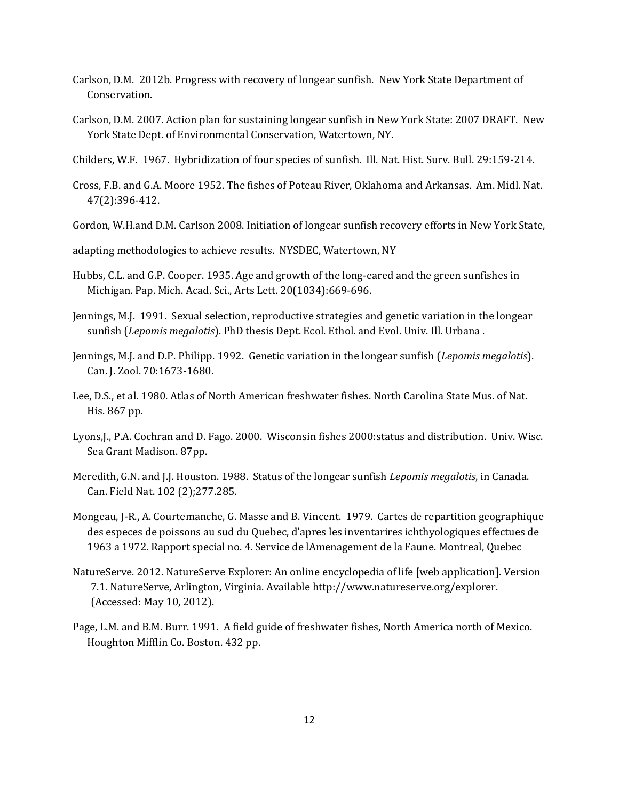- Carlson, D.M. 2012b. Progress with recovery of longear sunfish. New York State Department of Conservation.
- Carlson, D.M. 2007. Action plan for sustaining longear sunfish in New York State: 2007 DRAFT. New York State Dept. of Environmental Conservation, Watertown, NY.
- Childers, W.F. 1967. Hybridization of four species of sunfish. Ill. Nat. Hist. Surv. Bull. 29:159-214.
- Cross, F.B. and G.A. Moore 1952. The fishes of Poteau River, Oklahoma and Arkansas. Am. Midl. Nat. 47(2):396-412.
- Gordon, W.H.and D.M. Carlson 2008. Initiation of longear sunfish recovery efforts in New York State,

adapting methodologies to achieve results. NYSDEC, Watertown, NY

- Hubbs, C.L. and G.P. Cooper. 1935. Age and growth of the long-eared and the green sunfishes in Michigan. Pap. Mich. Acad. Sci., Arts Lett. 20(1034):669-696.
- Jennings, M.J. 1991. Sexual selection, reproductive strategies and genetic variation in the longear sunfish (*Lepomis megalotis*). PhD thesis Dept. Ecol. Ethol. and Evol. Univ. Ill. Urbana .
- Jennings, M.J. and D.P. Philipp. 1992. Genetic variation in the longear sunfish (*Lepomis megalotis*). Can. J. Zool. 70:1673-1680.
- Lee, D.S., et al. 1980. Atlas of North American freshwater fishes. North Carolina State Mus. of Nat. His. 867 pp.
- Lyons,J., P.A. Cochran and D. Fago. 2000. Wisconsin fishes 2000:status and distribution. Univ. Wisc. Sea Grant Madison. 87pp.
- Meredith, G.N. and J.J. Houston. 1988. Status of the longear sunfish *Lepomis megalotis*, in Canada. Can. Field Nat. 102 (2);277.285.
- Mongeau, J-R., A. Courtemanche, G. Masse and B. Vincent. 1979. Cartes de repartition geographique des especes de poissons au sud du Quebec, d'apres les inventarires ichthyologiques effectues de 1963 a 1972. Rapport special no. 4. Service de lAmenagement de la Faune. Montreal, Quebec
- NatureServe. 2012. NatureServe Explorer: An online encyclopedia of life [web application]. Version 7.1. NatureServe, Arlington, Virginia. Available http://www.natureserve.org/explorer. (Accessed: May 10, 2012).
- Page, L.M. and B.M. Burr. 1991. A field guide of freshwater fishes, North America north of Mexico. Houghton Mifflin Co. Boston. 432 pp.